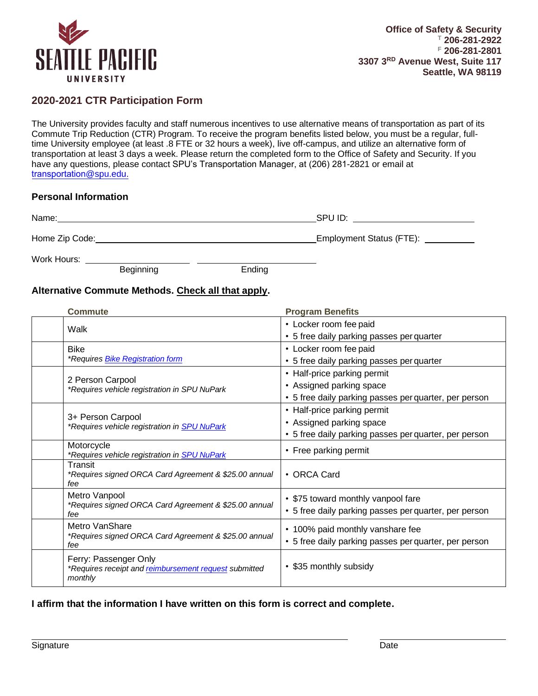

# **2020-2021 CTR Participation Form**

The University provides faculty and staff numerous incentives to use alternative means of transportation as part of its Commute Trip Reduction (CTR) Program. To receive the program benefits listed below, you must be a regular, fulltime University employee (at least .8 FTE or 32 hours a week), live off-campus, and utilize an alternative form of transportation at least 3 days a week. Please return the completed form to the Office of Safety and Security. If you have any questions, please contact SPU's Transportation Manager, at (206) 281-2821 or email at t[ransportation](mailto:eideh@spu.edu)@spu.edu.

#### **Personal Information**

| Name:          | SPU ID:                         |
|----------------|---------------------------------|
| Home Zip Code: | <b>Employment Status (FTE):</b> |

Work Hours: \_

Beginning **Ending** 

### **Alternative Commute Methods. Check all that apply.**

| <b>Commute</b>                                                                            | <b>Program Benefits</b>                                                                                          |
|-------------------------------------------------------------------------------------------|------------------------------------------------------------------------------------------------------------------|
| Walk                                                                                      | • Locker room fee paid<br>• 5 free daily parking passes per quarter                                              |
| <b>Bike</b><br><i>*Requires Bike Registration form</i>                                    | • Locker room fee paid<br>• 5 free daily parking passes per quarter                                              |
| 2 Person Carpool<br>*Requires vehicle registration in SPU NuPark                          | • Half-price parking permit<br>• Assigned parking space<br>• 5 free daily parking passes per quarter, per person |
| 3+ Person Carpool<br>*Requires vehicle registration in SPU NuPark                         | • Half-price parking permit<br>• Assigned parking space<br>• 5 free daily parking passes per quarter, per person |
| Motorcycle<br>*Requires vehicle registration in <b>SPU NuPark</b>                         | • Free parking permit                                                                                            |
| Transit<br>*Requires signed ORCA Card Agreement & \$25.00 annual<br>fee                   | • ORCA Card                                                                                                      |
| Metro Vanpool<br>*Requires signed ORCA Card Agreement & \$25.00 annual<br>fee             | • \$75 toward monthly vanpool fare<br>• 5 free daily parking passes per quarter, per person                      |
| Metro VanShare<br>*Requires signed ORCA Card Agreement & \$25.00 annual<br>fee            | • 100% paid monthly vanshare fee<br>• 5 free daily parking passes per quarter, per person                        |
| Ferry: Passenger Only<br>*Requires receipt and reimbursement request submitted<br>monthly | • \$35 monthly subsidy                                                                                           |

### **I affirm that the information I have written on this form is correct and complete.**